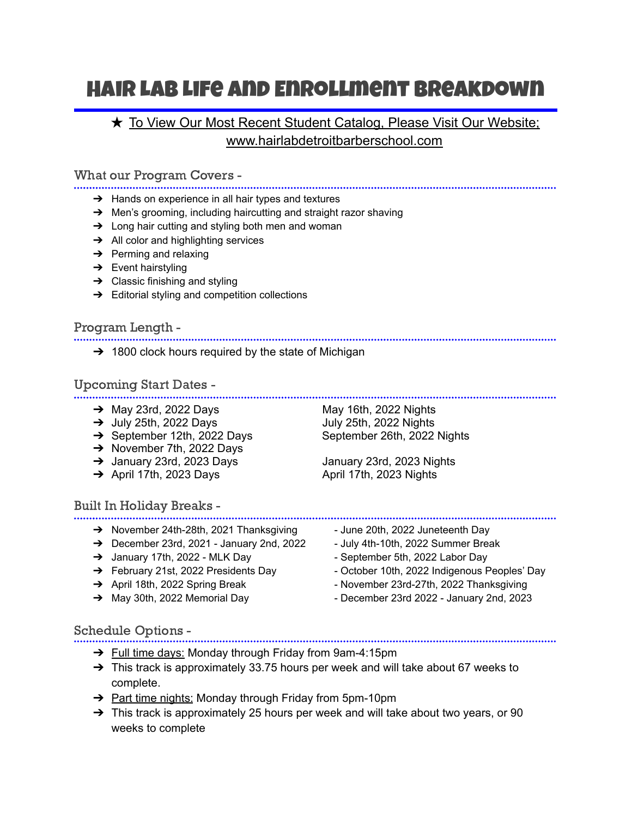# Hair Lab Life and Enrollment Breakdown

# **★ To View Our Most Recent Student Catalog, Please Visit Our Website;** www.hairlabdetroitbarberschool.com

What our Program Covers -

- ➔ Hands on experience in all hair types and textures
- $\rightarrow$  Men's grooming, including haircutting and straight razor shaving
- → Long hair cutting and styling both men and woman
- **→** All color and highlighting services
- $\rightarrow$  Perming and relaxing
- $\rightarrow$  Event hairstyling
- $\rightarrow$  Classic finishing and styling
- $\rightarrow$  Editorial styling and competition collections

Program Length -

 $\rightarrow$  1800 clock hours required by the state of Michigan

Upcoming Start Dates -

- → May 23rd, 2022 Days May 16th, 2022 Nights
- $\rightarrow$  July 25th, 2022 Days<br>  $\rightarrow$  September 12th, 2022 Days
- 
- → November 7th, 2022 Days
- 
- 

## Built In Holiday Breaks -

- → November 24th-28th, 2021 Thanksgiving Full June 20th, 2022 Juneteenth Day
- → December 23rd, 2021 January 2nd, 2022 July 4th-10th, 2022 Summer Break
- → January 17th, 2022 MLK Day September 5th, 2022 Labor Day
- 
- 
- 

→ September 12th, 2022 Days September 26th, 2022 Nights

➔ January 23rd, 2023 Days January 23rd, 2023 Nights  $\rightarrow$  April 17th, 2023 Days April 17th, 2023 Nights

- -
	-
- → February 21st, 2022 Presidents Day October 10th, 2022 Indigenous Peoples' Day
- → April 18th, 2022 Spring Break November 23rd-27th, 2022 Thanksgiving
- → May 30th, 2022 Memorial Day  **December 23rd 2022 January 2nd, 2023**

Schedule Options -

- → Full time days: Monday through Friday from 9am-4:15pm
- $\rightarrow$  This track is approximately 33.75 hours per week and will take about 67 weeks to complete.
- → Part time nights: Monday through Friday from 5pm-10pm
- $\rightarrow$  This track is approximately 25 hours per week and will take about two years, or 90 weeks to complete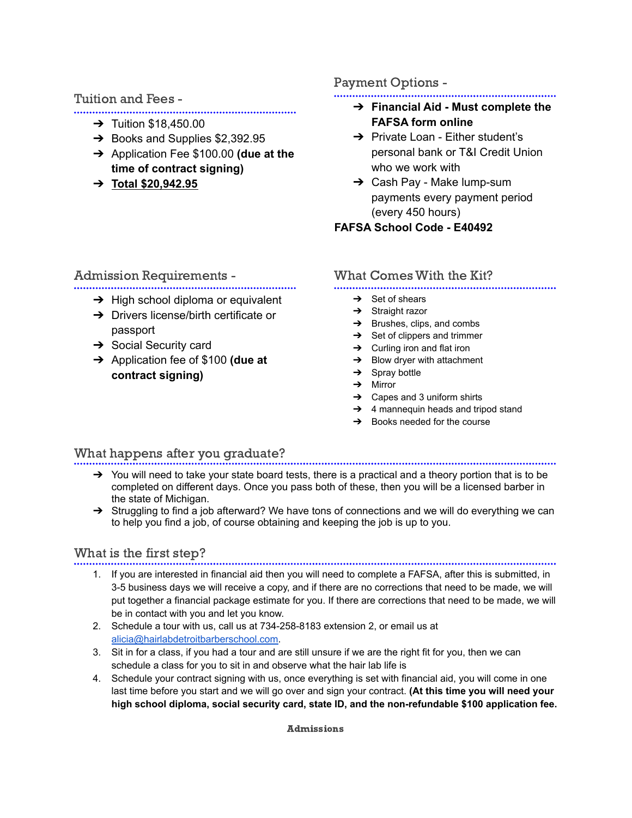## Tuition and Fees -

- 
- $\rightarrow$  Tuition \$18,450.00
- ➔ Books and Supplies \$2,392.95
- ➔ Application Fee \$100.00 **(due at the time of contract signing)**
- ➔ **Total \$20,942.95**

# Payment Options -

- ➔ **Financial Aid - Must complete the FAFSA form online**
- **→** Private Loan Either student's personal bank or T&I Credit Union who we work with
- ➔ Cash Pay Make lump-sum payments every payment period (every 450 hours)

# **FAFSA School Code - E40492**

# Admission Requirements -

- **→** High school diploma or equivalent
- ➔ Drivers license/birth certificate or passport
- $\rightarrow$  Social Security card
- ➔ Application fee of \$100 **(due at contract signing)**

# What Comes With the Kit?

- 
- $\rightarrow$  Set of shears
- **→** Straight razor
- $\rightarrow$  Brushes, clips, and combs
- $\rightarrow$  Set of clippers and trimmer
- $\rightarrow$  Curling iron and flat iron
- $\rightarrow$  Blow dryer with attachment
- $\rightarrow$  Spray bottle
- ➔ Mirror
- $\rightarrow$  Capes and 3 uniform shirts
- ➔ 4 mannequin heads and tripod stand
- $\rightarrow$  Books needed for the course

# What happens after you graduate?

- $\rightarrow$  You will need to take your state board tests, there is a practical and a theory portion that is to be completed on different days. Once you pass both of these, then you will be a licensed barber in the state of Michigan.
- → Struggling to find a job afterward? We have tons of connections and we will do everything we can to help you find a job, of course obtaining and keeping the job is up to you.

# What is the first step?

- - 1. If you are interested in financial aid then you will need to complete a FAFSA, after this is submitted, in 3-5 business days we will receive a copy, and if there are no corrections that need to be made, we will put together a financial package estimate for you. If there are corrections that need to be made, we will be in contact with you and let you know.
	- 2. Schedule a tour with us, call us at 734-258-8183 extension 2, or email us at [alicia@hairlabdetroitbarberschool.com.](mailto:alicia@hairlabdetroitbarberschool.com)
	- 3. Sit in for a class, if you had a tour and are still unsure if we are the right fit for you, then we can schedule a class for you to sit in and observe what the hair lab life is
	- 4. Schedule your contract signing with us, once everything is set with financial aid, you will come in one last time before you start and we will go over and sign your contract. **(At this time you will need your high school diploma, social security card, state ID, and the non-refundable \$100 application fee.**

Admissions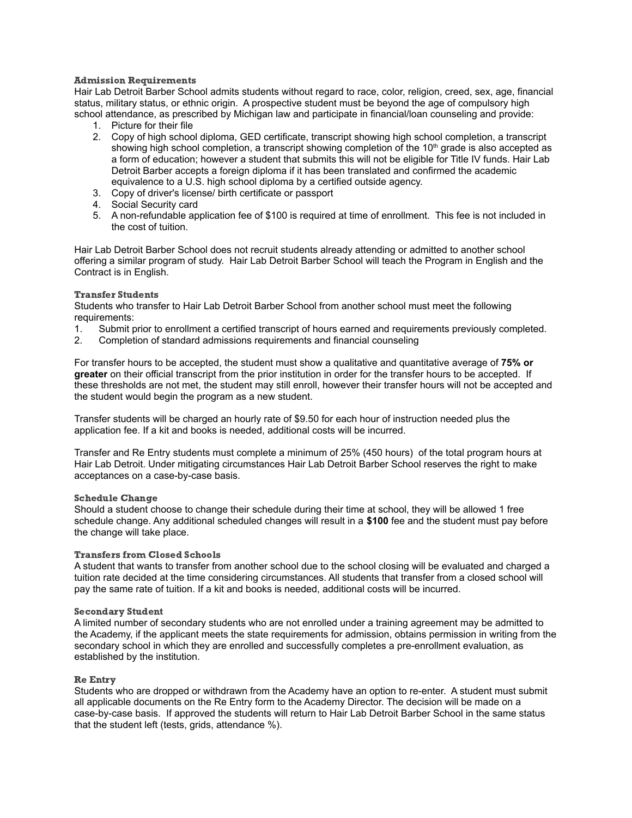## Admission Requirements

Hair Lab Detroit Barber School admits students without regard to race, color, religion, creed, sex, age, financial status, military status, or ethnic origin. A prospective student must be beyond the age of compulsory high school attendance, as prescribed by Michigan law and participate in financial/loan counseling and provide:

- 1. Picture for their file
- 2. Copy of high school diploma, GED certificate, transcript showing high school completion, a transcript showing high school completion, a transcript showing completion of the  $10^{\text{th}}$  grade is also accepted as a form of education; however a student that submits this will not be eligible for Title IV funds. Hair Lab Detroit Barber accepts a foreign diploma if it has been translated and confirmed the academic equivalence to a U.S. high school diploma by a certified outside agency.
- 3. Copy of driver's license/ birth certificate or passport
- 4. Social Security card
- 5. A non-refundable application fee of \$100 is required at time of enrollment. This fee is not included in the cost of tuition.

Hair Lab Detroit Barber School does not recruit students already attending or admitted to another school offering a similar program of study. Hair Lab Detroit Barber School will teach the Program in English and the Contract is in English.

## Transfer Students

Students who transfer to Hair Lab Detroit Barber School from another school must meet the following requirements:

- 1. Submit prior to enrollment a certified transcript of hours earned and requirements previously completed.
- 2. Completion of standard admissions requirements and financial counseling

For transfer hours to be accepted, the student must show a qualitative and quantitative average of **75% or greater** on their official transcript from the prior institution in order for the transfer hours to be accepted. If these thresholds are not met, the student may still enroll, however their transfer hours will not be accepted and the student would begin the program as a new student.

Transfer students will be charged an hourly rate of \$9.50 for each hour of instruction needed plus the application fee. If a kit and books is needed, additional costs will be incurred.

Transfer and Re Entry students must complete a minimum of 25% (450 hours) of the total program hours at Hair Lab Detroit. Under mitigating circumstances Hair Lab Detroit Barber School reserves the right to make acceptances on a case-by-case basis.

## Schedule Change

Should a student choose to change their schedule during their time at school, they will be allowed 1 free schedule change. Any additional scheduled changes will result in a **\$100** fee and the student must pay before the change will take place.

## Transfers from Closed Schools

A student that wants to transfer from another school due to the school closing will be evaluated and charged a tuition rate decided at the time considering circumstances. All students that transfer from a closed school will pay the same rate of tuition. If a kit and books is needed, additional costs will be incurred.

## Secondary Student

A limited number of secondary students who are not enrolled under a training agreement may be admitted to the Academy, if the applicant meets the state requirements for admission, obtains permission in writing from the secondary school in which they are enrolled and successfully completes a pre-enrollment evaluation, as established by the institution.

## Re Entry

Students who are dropped or withdrawn from the Academy have an option to re-enter. A student must submit all applicable documents on the Re Entry form to the Academy Director. The decision will be made on a case-by-case basis. If approved the students will return to Hair Lab Detroit Barber School in the same status that the student left (tests, grids, attendance %).